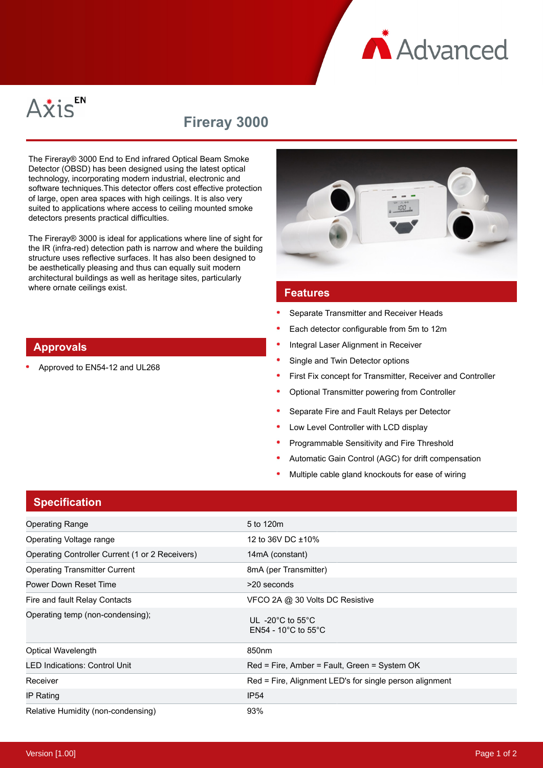Advanced



# **Fireray 3000**

The Fireray® 3000 End to End infrared Optical Beam Smoke Detector (OBSD) has been designed using the latest optical technology, incorporating modern industrial, electronic and software techniques.This detector offers cost effective protection of large, open area spaces with high ceilings. It is also very suited to applications where access to ceiling mounted smoke detectors presents practical difficulties.

The Fireray® 3000 is ideal for applications where line of sight for the IR (infra-red) detection path is narrow and where the building structure uses reflective surfaces. It has also been designed to be aesthetically pleasing and thus can equally suit modern architectural buildings as well as heritage sites, particularly where ornate ceilings exist.



Approved to EN54-12 and UL268



#### **Features**

- Separate Transmitter and Receiver Heads
- Each detector configurable from 5m to 12m
- Integral Laser Alignment in Receiver
- Single and Twin Detector options
- First Fix concept for Transmitter, Receiver and Controller
- Optional Transmitter powering from Controller
- Separate Fire and Fault Relays per Detector
- Low Level Controller with LCD display
- Programmable Sensitivity and Fire Threshold
- Automatic Gain Control (AGC) for drift compensation
- Multiple cable gland knockouts for ease of wiring

## **Specification**

| <b>Operating Range</b>                          | 5 to 120m                                                                           |  |  |
|-------------------------------------------------|-------------------------------------------------------------------------------------|--|--|
| Operating Voltage range                         | 12 to 36V DC ±10%                                                                   |  |  |
| Operating Controller Current (1 or 2 Receivers) | 14mA (constant)                                                                     |  |  |
| <b>Operating Transmitter Current</b>            | 8mA (per Transmitter)                                                               |  |  |
| Power Down Reset Time                           | >20 seconds                                                                         |  |  |
| Fire and fault Relay Contacts                   | VFCO 2A @ 30 Volts DC Resistive                                                     |  |  |
| Operating temp (non-condensing);                | UL -20 $^{\circ}$ C to 55 $^{\circ}$ C<br>EN54 - 10 $^{\circ}$ C to 55 $^{\circ}$ C |  |  |
| Optical Wavelength                              | 850nm                                                                               |  |  |
| <b>LED Indications: Control Unit</b>            | Red = Fire, Amber = Fault, Green = System OK                                        |  |  |
| Receiver                                        | Red = Fire, Alignment LED's for single person alignment                             |  |  |
| IP Rating                                       | IP <sub>54</sub>                                                                    |  |  |
| Relative Humidity (non-condensing)              | 93%                                                                                 |  |  |